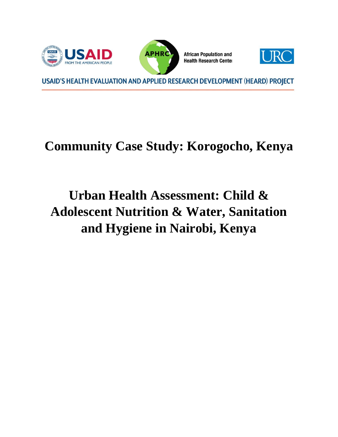

# **Community Case Study: Korogocho, Kenya**

# **Urban Health Assessment: Child & Adolescent Nutrition & Water, Sanitation and Hygiene in Nairobi, Kenya**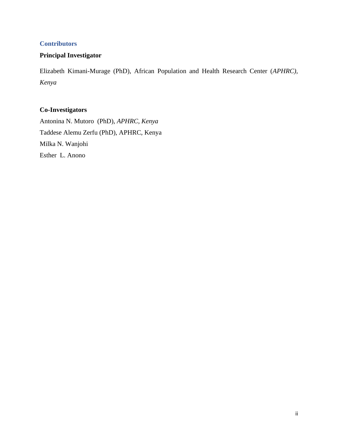# <span id="page-1-0"></span>**Contributors**

# **Principal Investigator**

Elizabeth Kimani-Murage (PhD), African Population and Health Research Center (*APHRC), Kenya*

# **Co-Investigators**

Antonina N. Mutoro (PhD), *APHRC, Kenya* Taddese Alemu Zerfu (PhD), APHRC, Kenya Milka N. Wanjohi Esther L. Anono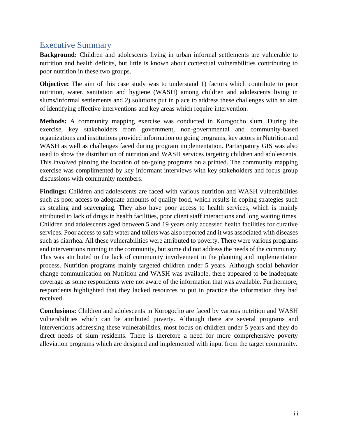# <span id="page-2-0"></span>Executive Summary

**Background:** Children and adolescents living in urban informal settlements are vulnerable to nutrition and health deficits, but little is known about contextual vulnerabilities contributing to poor nutrition in these two groups.

**Objective:** The aim of this case study was to understand 1) factors which contribute to poor nutrition, water, sanitation and hygiene (WASH) among children and adolescents living in slums/informal settlements and 2) solutions put in place to address these challenges with an aim of identifying effective interventions and key areas which require intervention.

**Methods:** A community mapping exercise was conducted in Korogocho slum. During the exercise, key stakeholders from government, non-governmental and community-based organizations and institutions provided information on going programs, key actors in Nutrition and WASH as well as challenges faced during program implementation. Participatory GIS was also used to show the distribution of nutrition and WASH services targeting children and adolescents. This involved pinning the location of on-going programs on a printed. The community mapping exercise was complimented by key informant interviews with key stakeholders and focus group discussions with community members.

Findings: Children and adolescents are faced with various nutrition and WASH vulnerabilities such as poor access to adequate amounts of quality food, which results in coping strategies such as stealing and scavenging. They also have poor access to health services, which is mainly attributed to lack of drugs in health facilities, poor client staff interactions and long waiting times. Children and adolescents aged between 5 and 19 years only accessed health facilities for curative services. Poor access to safe water and toilets was also reported and it was associated with diseases such as diarrhea. All these vulnerabilities were attributed to poverty. There were various programs and interventions running in the community, but some did not address the needs of the community. This was attributed to the lack of community involvement in the planning and implementation process. Nutrition programs mainly targeted children under 5 years. Although social behavior change communication on Nutrition and WASH was available, there appeared to be inadequate coverage as some respondents were not aware of the information that was available. Furthermore, respondents highlighted that they lacked resources to put in practice the information they had received.

**Conclusions:** Children and adolescents in Korogocho are faced by various nutrition and WASH vulnerabilities which can be attributed poverty. Although there are several programs and interventions addressing these vulnerabilities, most focus on children under 5 years and they do direct needs of slum residents. There is therefore a need for more comprehensive poverty alleviation programs which are designed and implemented with input from the target community.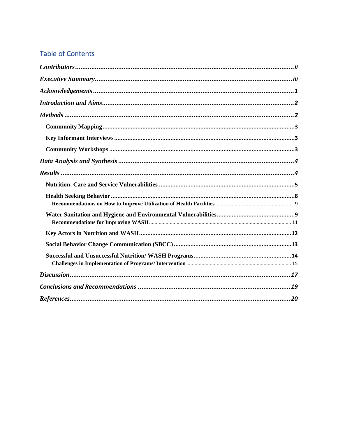# **Table of Contents**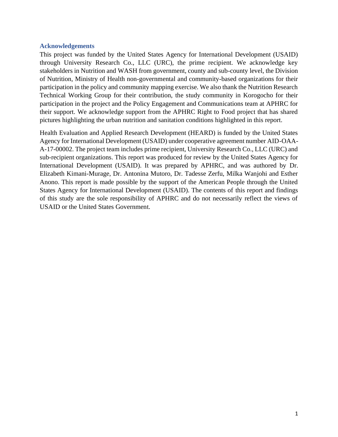#### <span id="page-4-0"></span>**Acknowledgements**

This project was funded by the United States Agency for International Development (USAID) through University Research Co., LLC (URC), the prime recipient. We acknowledge key stakeholders in Nutrition and WASH from government, county and sub-county level, the Division of Nutrition, Ministry of Health non-governmental and community-based organizations for their participation in the policy and community mapping exercise. We also thank the Nutrition Research Technical Working Group for their contribution, the study community in Korogocho for their participation in the project and the Policy Engagement and Communications team at APHRC for their support. We acknowledge support from the APHRC Right to Food project that has shared pictures highlighting the urban nutrition and sanitation conditions highlighted in this report.

Health Evaluation and Applied Research Development (HEARD) is funded by the United States Agency for International Development (USAID) under cooperative agreement number AID-OAA-A-17-00002. The project team includes prime recipient, University Research Co., LLC (URC) and sub-recipient organizations. This report was produced for review by the United States Agency for International Development (USAID). It was prepared by APHRC, and was authored by Dr. Elizabeth Kimani-Murage, Dr. Antonina Mutoro, Dr. Tadesse Zerfu, Milka Wanjohi and Esther Anono. This report is made possible by the support of the American People through the United States Agency for International Development (USAID). The contents of this report and findings of this study are the sole responsibility of APHRC and do not necessarily reflect the views of USAID or the United States Government.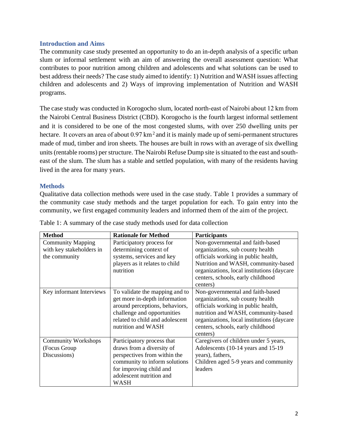#### <span id="page-5-0"></span>**Introduction and Aims**

The community case study presented an opportunity to do an in-depth analysis of a specific urban slum or informal settlement with an aim of answering the overall assessment question: What contributes to poor nutrition among children and adolescents and what solutions can be used to best address their needs? The case study aimed to identify: 1) Nutrition and WASH issues affecting children and adolescents and 2) Ways of improving implementation of Nutrition and WASH programs.

The case study was conducted in Korogocho slum, located north-east of Nairobi about 12 km from the Nairobi Central Business District (CBD). Korogocho is the fourth largest informal settlement and it is considered to be one of the most congested slums, with over 250 dwelling units per hectare. It covers an area of about  $0.97 \text{ km}^2$  and it is mainly made up of semi-permanent structures made of mud, timber and iron sheets. The houses are built in rows with an average of six dwelling units (rentable rooms) per structure. The Nairobi Refuse Dump site is situated to the east and southeast of the slum. The slum has a stable and settled population, with many of the residents having lived in the area for many years.

## <span id="page-5-1"></span>**Methods**

Qualitative data collection methods were used in the case study. Table 1 provides a summary of the community case study methods and the target population for each. To gain entry into the community, we first engaged community leaders and informed them of the aim of the project.

| <b>Method</b>              | <b>Rationale for Method</b>     | <b>Participants</b>                        |
|----------------------------|---------------------------------|--------------------------------------------|
| <b>Community Mapping</b>   | Participatory process for       | Non-governmental and faith-based           |
| with key stakeholders in   | determining context of          | organizations, sub county health           |
| the community              | systems, services and key       | officials working in public health,        |
|                            | players as it relates to child  | Nutrition and WASH, community-based        |
|                            | nutrition                       | organizations, local institutions (daycare |
|                            |                                 | centers, schools, early childhood          |
|                            |                                 | centers)                                   |
| Key informant Interviews   | To validate the mapping and to  | Non-governmental and faith-based           |
|                            | get more in-depth information   | organizations, sub county health           |
|                            | around perceptions, behaviors,  | officials working in public health,        |
|                            | challenge and opportunities     | nutrition and WASH, community-based        |
|                            | related to child and adolescent | organizations, local institutions (daycare |
|                            | nutrition and WASH              | centers, schools, early childhood          |
|                            |                                 | centers)                                   |
| <b>Community Workshops</b> | Participatory process that      | Caregivers of children under 5 years,      |
| (Focus Group               | draws from a diversity of       | Adolescents (10-14 years and 15-19)        |
| Discussions)               | perspectives from within the    | years), fathers,                           |
|                            | community to inform solutions   | Children aged 5-9 years and community      |
|                            | for improving child and         | leaders                                    |
|                            | adolescent nutrition and        |                                            |
|                            | <b>WASH</b>                     |                                            |

| Table 1: A summary of the case study methods used for data collection |
|-----------------------------------------------------------------------|
|-----------------------------------------------------------------------|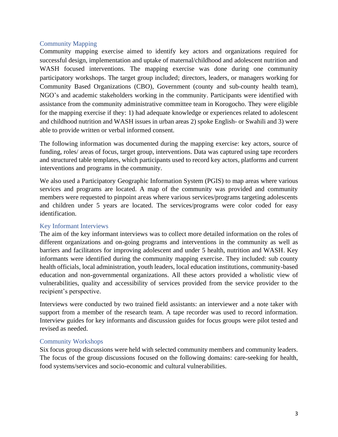## <span id="page-6-0"></span>Community Mapping

Community mapping exercise aimed to identify key actors and organizations required for successful design, implementation and uptake of maternal/childhood and adolescent nutrition and WASH focused interventions. The mapping exercise was done during one community participatory workshops. The target group included; directors, leaders, or managers working for Community Based Organizations (CBO), Government (county and sub-county health team), NGO's and academic stakeholders working in the community. Participants were identified with assistance from the community administrative committee team in Korogocho. They were eligible for the mapping exercise if they: 1) had adequate knowledge or experiences related to adolescent and childhood nutrition and WASH issues in urban areas 2) spoke English- or Swahili and 3) were able to provide written or verbal informed consent.

The following information was documented during the mapping exercise: key actors, source of funding, roles/ areas of focus, target group, interventions. Data was captured using tape recorders and structured table templates, which participants used to record key actors, platforms and current interventions and programs in the community.

We also used a Participatory Geographic Information System (PGIS) to map areas where various services and programs are located. A map of the community was provided and community members were requested to pinpoint areas where various services/programs targeting adolescents and children under 5 years are located. The services/programs were color coded for easy identification.

## <span id="page-6-1"></span>Key Informant Interviews

The aim of the key informant interviews was to collect more detailed information on the roles of different organizations and on-going programs and interventions in the community as well as barriers and facilitators for improving adolescent and under 5 health, nutrition and WASH. Key informants were identified during the community mapping exercise. They included: sub county health officials, local administration, youth leaders, local education institutions, community-based education and non-governmental organizations. All these actors provided a wholistic view of vulnerabilities, quality and accessibility of services provided from the service provider to the recipient's perspective.

Interviews were conducted by two trained field assistants: an interviewer and a note taker with support from a member of the research team. A tape recorder was used to record information. Interview guides for key informants and discussion guides for focus groups were pilot tested and revised as needed.

## <span id="page-6-2"></span>Community Workshops

Six focus group discussions were held with selected community members and community leaders. The focus of the group discussions focused on the following domains: care-seeking for health, food systems/services and socio-economic and cultural vulnerabilities.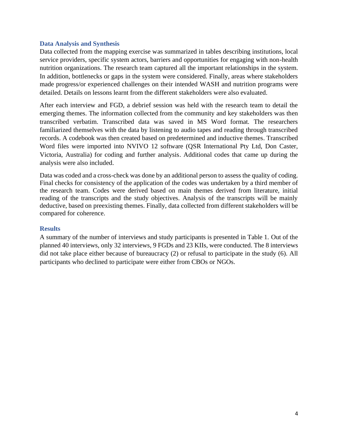#### <span id="page-7-0"></span>**Data Analysis and Synthesis**

Data collected from the mapping exercise was summarized in tables describing institutions, local service providers, specific system actors, barriers and opportunities for engaging with non-health nutrition organizations. The research team captured all the important relationships in the system. In addition, bottlenecks or gaps in the system were considered. Finally, areas where stakeholders made progress/or experienced challenges on their intended WASH and nutrition programs were detailed. Details on lessons learnt from the different stakeholders were also evaluated.

After each interview and FGD, a debrief session was held with the research team to detail the emerging themes. The information collected from the community and key stakeholders was then transcribed verbatim. Transcribed data was saved in MS Word format. The researchers familiarized themselves with the data by listening to audio tapes and reading through transcribed records. A codebook was then created based on predetermined and inductive themes. Transcribed Word files were imported into NVIVO 12 software (QSR International Pty Ltd, Don Caster, Victoria, Australia) for coding and further analysis. Additional codes that came up during the analysis were also included.

Data was coded and a cross-check was done by an additional person to assess the quality of coding. Final checks for consistency of the application of the codes was undertaken by a third member of the research team. Codes were derived based on main themes derived from literature, initial reading of the transcripts and the study objectives. Analysis of the transcripts will be mainly deductive, based on preexisting themes. Finally, data collected from different stakeholders will be compared for coherence.

#### <span id="page-7-1"></span>**Results**

A summary of the number of interviews and study participants is presented in Table 1. Out of the planned 40 interviews, only 32 interviews, 9 FGDs and 23 KIIs, were conducted. The 8 interviews did not take place either because of bureaucracy (2) or refusal to participate in the study (6). All participants who declined to participate were either from CBOs or NGOs.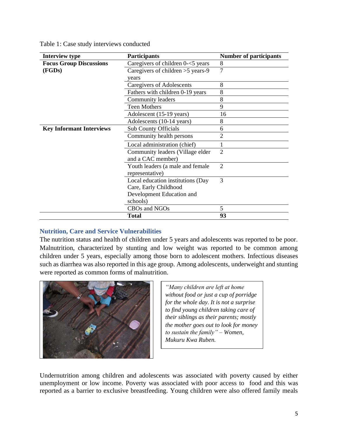|  |  |  |  | Table 1: Case study interviews conducted |  |
|--|--|--|--|------------------------------------------|--|
|--|--|--|--|------------------------------------------|--|

| <b>Interview type</b>           | <b>Participants</b>                                        | <b>Number of participants</b> |
|---------------------------------|------------------------------------------------------------|-------------------------------|
| <b>Focus Group Discussions</b>  | Caregivers of children $0$ - $<$ 5 years                   | 8                             |
| (FGDs)                          | Caregivers of children $>5$ years-9                        | $\overline{7}$                |
|                                 | years                                                      |                               |
|                                 | Caregivers of Adolescents                                  | 8                             |
|                                 | Fathers with children 0-19 years                           | 8                             |
|                                 | Community leaders                                          | 8                             |
|                                 | <b>Teen Mothers</b>                                        | 9                             |
|                                 | Adolescent (15-19 years)                                   | 16                            |
|                                 | Adolescents (10-14 years)                                  | 8                             |
| <b>Key Informant Interviews</b> | <b>Sub County Officials</b>                                | 6                             |
|                                 | Community health persons                                   | 2                             |
|                                 | Local administration (chief)                               |                               |
|                                 | Community leaders (Village elder<br>and a CAC member)      | $\overline{2}$                |
|                                 | Youth leaders (a male and female<br>representative)        | $\overline{2}$                |
|                                 | Local education institutions (Day<br>Care, Early Childhood | 3                             |
|                                 | Development Education and<br>schools)                      |                               |
|                                 | CBOs and NGOs                                              | 5                             |
|                                 | <b>Total</b>                                               | 93                            |

#### <span id="page-8-0"></span>**Nutrition, Care and Service Vulnerabilities**

The nutrition status and health of children under 5 years and adolescents was reported to be poor. Malnutrition, characterized by stunting and low weight was reported to be common among children under 5 years, especially among those born to adolescent mothers. Infectious diseases such as diarrhea was also reported in this age group. Among adolescents, underweight and stunting were reported as common forms of malnutrition.



*"Many children are left at home without food or just a cup of porridge for the whole day. It is not a surprise to find young children taking care of their siblings as their parents; mostly the mother goes out to look for money to sustain the family" – Women, Mukuru Kwa Ruben.*

Undernutrition among children and adolescents was associated with poverty caused by either unemployment or low income. Poverty was associated with poor access to food and this was reported as a barrier to exclusive breastfeeding. Young children were also offered family meals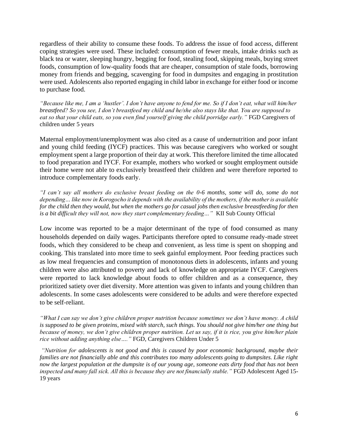regardless of their ability to consume these foods. To address the issue of food access, different coping strategies were used. These included: consumption of fewer meals, intake drinks such as black tea or water, sleeping hungry, begging for food, stealing food, skipping meals, buying street foods, consumption of low-quality foods that are cheaper, consumption of stale foods, borrowing money from friends and begging, scavenging for food in dumpsites and engaging in prostitution were used. Adolescents also reported engaging in child labor in exchange for either food or income to purchase food.

*"Because like me, I am a 'hustler'. I don't have anyone to fend for me. So if I don't eat, what will him/her breastfeed? So you see, I don't breastfeed my child and he/she also stays like that. You are supposed to eat so that your child eats, so you even find yourself giving the child porridge early."* FGD Caregivers of children under 5 years

Maternal employment/unemployment was also cited as a cause of undernutrition and poor infant and young child feeding (IYCF) practices. This was because caregivers who worked or sought employment spent a large proportion of their day at work. This therefore limited the time allocated to food preparation and IYCF. For example, mothers who worked or sought employment outside their home were not able to exclusively breastfeed their children and were therefore reported to introduce complementary foods early.

*"I can't say all mothers do exclusive breast feeding on the 0-6 months, some will do, some do not depending… like now in Korogocho it depends with the availability of the mothers, if the mother is available for the child then they would, but when the mothers go for casual jobs then exclusive breastfeeding for then is a bit difficult they will not, now they start complementary feeding…"* KII Sub County Official

Low income was reported to be a major determinant of the type of food consumed as many households depended on daily wages. Participants therefore opted to consume ready-made street foods, which they considered to be cheap and convenient, as less time is spent on shopping and cooking. This translated into more time to seek gainful employment. Poor feeding practices such as low meal frequencies and consumption of monotonous diets in adolescents, infants and young children were also attributed to poverty and lack of knowledge on appropriate IYCF. Caregivers were reported to lack knowledge about foods to offer children and as a consequence, they prioritized satiety over diet diversity. More attention was given to infants and young children than adolescents. In some cases adolescents were considered to be adults and were therefore expected to be self-reliant.

*"What I can say we don't give children proper nutrition because sometimes we don't have money. A child is supposed to be given proteins, mixed with starch, such things. You should not give him/her one thing but because of money, we don't give children proper nutrition. Let us say, if it is rice, you give him/her plain rice without adding anything else…."* FGD, Caregivers Children Under 5

*"Nutrition for adolescents is not good and this is caused by poor economic background, maybe their families are not financially able and this contributes too many adolescents going to dumpsites. Like right now the largest population at the dumpsite is of our young age, someone eats dirty food that has not been inspected and many fall sick. All this is because they are not financially stable."* FGD Adolescent Aged 15- 19 years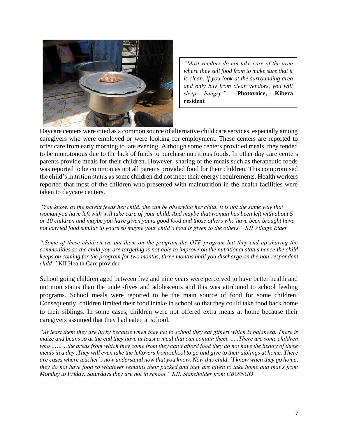

*"Most vendors do not take care of the area where they sell food from to make sure that it is clean. If you look at the surrounding area and only buy from clean vendors, you will sleep hungry."* –**Photovoice, Kibera resident**

Daycare centers were cited as a common source of alternative child care services, especially among caregivers who were employed or were looking for employment. These centers are reported to offer care from early morning to late evening. Although some centers provided meals, they tended to be monotonous due to the lack of funds to purchase nutritious foods. In other day care centers parents provide meals for their children. However, sharing of the meals such as therapeutic foods was reported to be common as not all parents provided food for their children. This compromised the child's nutrition status as some children did not meet their energy requirements. Health workers reported that most of the children who presented with malnutrition in the health facilities were taken to daycare centers.

*"You know, as the parent feeds her child, she can be observing her child. It is not the same way that woman you have left with will take care of your child. And maybe that woman has been left with about 5 or 10 children and maybe you have given yours good food and those others who have been brought have not carried food similar to yours so maybe your child's food is given to the others." KII Village Elder* 

*".Some of these children we put them on the program the OTP program but they end up sharing the commodities so the child you are targeting is not able to improve on the nutritional status hence the child keeps on coming for the program for two months, three months until you discharge on the non-respondent child."* KII Health Care provider

School going children aged between five and nine years were perceived to have better health and nutrition status than the under-fives and adolescents and this was attributed to school feeding programs. School meals were reported to be the main source of food for some children. Consequently, children limited their food intake in school so that they could take food back home to their siblings. In some cases, children were not offered extra meals at home because their caregivers assumed that they had eaten at school.

*"At least them they are lucky because when they get to school they eat githeri which is balanced. There is maize and beans so at the end they have at least a meal that can contain them. …..There are some children who ………the areas from which they come from they can`t afford food they do not have the luxury of three meals in a day .They will even take the leftovers from school to go and give to their siblings at home. There are cases where teacher`s now understand now that you know. Now this child, `I know when they go home, they do not have food so whatever remains their packed and they are given to take home and that's from Monday to Friday. Saturdays they are not in school." KII, Stakeholder from CBO/NGO*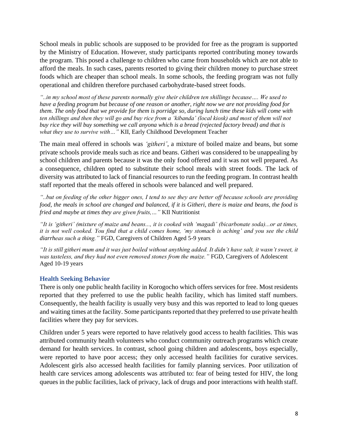School meals in public schools are supposed to be provided for free as the program is supported by the Ministry of Education. However, study participants reported contributing money towards the program. This posed a challenge to children who came from households which are not able to afford the meals. In such cases, parents resorted to giving their children money to purchase street foods which are cheaper than school meals. In some schools, the feeding program was not fully operational and children therefore purchased carbohydrate-based street foods.

*"..in my school most of these parents normally give their children ten shillings because…. We used to have a feeding program but because of one reason or another, right now we are not providing food for them. The only food that we provide for them is porridge so, during lunch time these kids will come with ten shillings and then they will go and buy rice from a 'kibanda' (local kiosk) and most of them will not buy rice they will buy something we call anyona which is a bread (rejected factory bread) and that is what they use to survive with…"* KII, Early Childhood Development Teacher

The main meal offered in schools was *'githeri'*, a mixture of boiled maize and beans, but some private schools provide meals such as rice and beans. Githeri was considered to be unappealing by school children and parents because it was the only food offered and it was not well prepared. As a consequence, children opted to substitute their school meals with street foods. The lack of diversity was attributed to lack of financial resources to run the feeding program. In contrast health staff reported that the meals offered in schools were balanced and well prepared.

*"..but on feeding of the other bigger ones, I tend to see they are better off because schools are providing food, the meals in school are changed and balanced, if it is Githeri, there is maize and beans, the food is fried and maybe at times they are given fruits,…"* KII Nutritionist

*"It is 'githeri' (mixture of maize and beans..., it is cooked with 'magadi' (bicarbonate soda)...or at times, it is not well cooked. You find that a child comes home, 'my stomach is aching' and you see the child diarrheas such a thing."* FGD, Caregivers of Children Aged 5-9 years

*"It is still githeri mum and it was just boiled without anything added. It didn't have salt, it wasn't sweet, it was tasteless, and they had not even removed stones from the maize."* FGD, Caregivers of Adolescent Aged 10-19 years

## <span id="page-11-0"></span>**Health Seeking Behavior**

There is only one public health facility in Korogocho which offers services for free. Most residents reported that they preferred to use the public health facility, which has limited staff numbers. Consequently, the health facility is usually very busy and this was reported to lead to long queues and waiting times at the facility. Some participants reported that they preferred to use private health facilities where they pay for services.

Children under 5 years were reported to have relatively good access to health facilities. This was attributed community health volunteers who conduct community outreach programs which create demand for health services. In contrast, school going children and adolescents, boys especially, were reported to have poor access; they only accessed health facilities for curative services. Adolescent girls also accessed health facilities for family planning services. Poor utilization of health care services among adolescents was attributed to: fear of being tested for HIV, the long queues in the public facilities, lack of privacy, lack of drugs and poor interactions with health staff.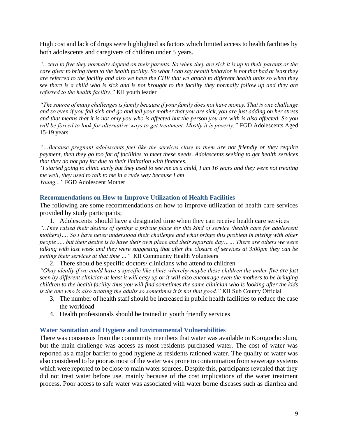High cost and lack of drugs were highlighted as factors which limited access to health facilities by both adolescents and caregivers of children under 5 years.

*".. zero to five they normally depend on their parents. So when they are sick it is up to their parents or the care giver to bring them to the health facility. So what I can say health behavior is not that bad at least they are referred to the facility and also we have the CHV that we attach to different health units so when they see there is a child who is sick and is not brought to the facility they normally follow up and they are referred to the health facility."* KII youth leader

*"The source of many challenges is family because if your family does not have money. That is one challenge and so even if you fall sick and go and tell your mother that you are sick, you are just adding on her stress and that means that it is not only you who is affected but the person you are with is also affected. So you will be forced to look for alternative ways to get treatment. Mostly it is poverty."* FGD Adolescents Aged 15-19 years

*"…Because pregnant adolescents feel like the services close to them are not friendly or they require payment, then they go too far of facilities to meet these needs. Adolescents seeking to get health services that they do not pay for due to their limitation with finances.* 

"*I started going to clinic early but they used to see me as a child, I am 16 years and they were not treating me well, they used to talk to me in a rude way because I am* 

<span id="page-12-0"></span>*Young..."* FGD Adolescent Mother

#### **Recommendations on How to Improve Utilization of Health Facilities**

The following are some recommendations on how to improve utilization of health care services provided by study participants;

1. Adolescents should have a designated time when they can receive health care services *"..They raised their desires of getting a private place for this kind of service (health care for adolescent mothers)…. So I have never understood their challenge and what brings this problem in mixing with other people….. but their desire is to have their own place and their separate day…… There are others we were talking with last week and they were suggesting that after the closure of services at 3:00pm they can be getting their services at that time …"* KII Community Health Volunteers

2. There should be specific doctors/ clinicians who attend to children *"Okay ideally if we could have a specific like clinic whereby maybe these children the under-five are just seen by different clinician at least it will easy up or it will also encourage even the mothers to be bringing children to the health facility thus you will find sometimes the same clinician who is looking after the kids is the one who is also treating the adults so sometimes it is not that good."* KII Sub County Official

- 3. The number of health staff should be increased in public health facilities to reduce the ease the workload
- 4. Health professionals should be trained in youth friendly services

#### <span id="page-12-1"></span>**Water Sanitation and Hygiene and Environmental Vulnerabilities**

There was consensus from the community members that water was available in Korogocho slum, but the main challenge was access as most residents purchased water. The cost of water was reported as a major barrier to good hygiene as residents rationed water. The quality of water was also considered to be poor as most of the water was prone to contamination from sewerage systems which were reported to be close to main water sources. Despite this, participants revealed that they did not treat water before use, mainly because of the cost implications of the water treatment process. Poor access to safe water was associated with water borne diseases such as diarrhea and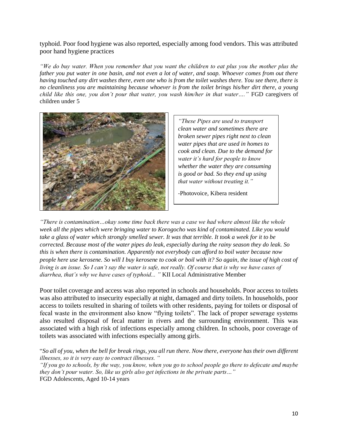typhoid. Poor food hygiene was also reported, especially among food vendors. This was attributed poor hand hygiene practices

*"We do buy water. When you remember that you want the children to eat plus you the mother plus the father you put water in one basin, and not even a lot of water, and soap. Whoever comes from out there having touched any dirt washes there, even one who is from the toilet washes there. You see there, there is no cleanliness you are maintaining because whoever is from the toilet brings his/her dirt there, a young child like this one, you don't pour that water, you wash him/her in that water…."* FGD caregivers of children under 5



*"These Pipes are used to transport clean water and sometimes there are broken sewer pipes right next to clean water pipes that are used in homes to cook and clean. Due to the demand for water it's hard for people to know whether the water they are consuming is good or bad. So they end up using that water without treating it."*

-Photovoice, Kibera resident

*"There is contamination…okay some time back there was a case we had where almost like the whole week all the pipes which were bringing water to Korogocho was kind of contaminated. Like you would take a glass of water which strongly smelled sewer. It was that terrible. It took a week for it to be corrected. Because most of the water pipes do leak, especially during the rainy season they do leak. So this is when there is contamination. Apparently not everybody can afford to boil water because now people here use kerosene. So will I buy kerosene to cook or boil with it? So again, the issue of high cost of living is an issue. So I can't say the water is safe, not really. Of course that is why we have cases of diarrhea, that's why we have cases of typhoid... "* KII Local Administrative Member

Poor toilet coverage and access was also reported in schools and households. Poor access to toilets was also attributed to insecurity especially at night, damaged and dirty toilets. In households, poor access to toilets resulted in sharing of toilets with other residents, paying for toilets or disposal of fecal waste in the environment also know "flying toilets". The lack of proper sewerage systems also resulted disposal of fecal matter in rivers and the surrounding environment. This was associated with a high risk of infections especially among children. In schools, poor coverage of toilets was associated with infections especially among girls.

```
"So all of you, when the bell for break rings, you all run there. Now there, everyone has their own different 
illnesses, so it is very easy to contract illnesses. "
```
*"If you go to schools, by the way, you know, when you go to school people go there to defecate and maybe they don't pour water. So, like us girls also get infections in the private parts…"*  FGD Adolescents, Aged 10-14 years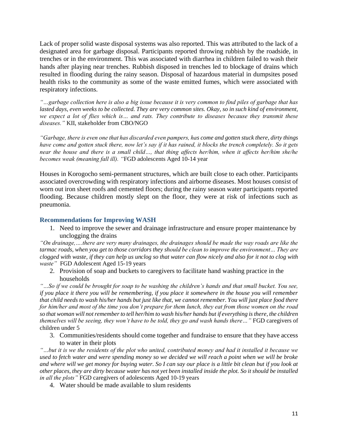Lack of proper solid waste disposal systems was also reported. This was attributed to the lack of a designated area for garbage disposal. Participants reported throwing rubbish by the roadside, in trenches or in the environment. This was associated with diarrhea in children failed to wash their hands after playing near trenches. Rubbish disposed in trenches led to blockage of drains which resulted in flooding during the rainy season. Disposal of hazardous material in dumpsites posed health risks to the community as some of the waste emitted fumes, which were associated with respiratory infections.

*"…garbage collection here is also a big issue because it is very common to find piles of garbage that has lasted days, even weeks to be collected. They are very common sites. Okay, so in such kind of environment, we expect a lot of flies which is… and rats. They contribute to diseases because they transmit these diseases."* KII, stakeholder from CBO/NGO

*"Garbage, there is even one that has discarded even pampers, has come and gotten stuck there, dirty things have come and gotten stuck there, now let's say if it has rained, it blocks the trench completely. So it gets near the house and there is a small child…, that thing affects her/him, when it affects her/him she/he becomes weak (meaning fall ill). "*FGD adolescents Aged 10-14 year

Houses in Korogocho semi-permanent structures, which are built close to each other. Participants associated overcrowding with respiratory infections and airborne diseases. Most houses consist of worn out iron sheet roofs and cemented floors; during the rainy season water participants reported flooding. Because children mostly slept on the floor, they were at risk of infections such as pneumonia.

#### <span id="page-14-0"></span>**Recommendations for Improving WASH**

1. Need to improve the sewer and drainage infrastructure and ensure proper maintenance by unclogging the drains

*"On drainage,….there are very many drainages, the drainages should be made the way roads are like the tarmac roads, when you get to those corridors they should be clean to improve the environment… They are clogged with waste, if they can help us unclog so that water can flow nicely and also for it not to clog with waste"* FGD Adolescent Aged 15-19 years

2. Provision of soap and buckets to caregivers to facilitate hand washing practice in the households

*"…So if we could be brought for soap to be washing the children's hands and that small bucket. You see, if you place it there you will be remembering, if you place it somewhere in the house you will remember that child needs to wash his/her hands but just like that, we cannot remember. You will just place food there for him/her and most of the time you don't prepare for them lunch, they eat from those women on the road so that woman will not remember to tell her/him to wash his/her hands but if everything is there, the children themselves will be seeing, they won't have to be told, they go and wash hands there…"* FGD caregivers of children under 5

3. Communities/residents should come together and fundraise to ensure that they have access to water in their plots

*"…but it is we the residents of the plot who united, contributed money and had it installed it because we used to fetch water and were spending money so we decided we will reach a point when we will be broke and where will we get money for buying water. So I can say our place is a little bit clean but if you look at other places, they are dirty because water has not yet been installed inside the plot. So it should be installed in all the plots"* FGD caregivers of adolescents Aged 10-19 years

4. Water should be made available to slum residents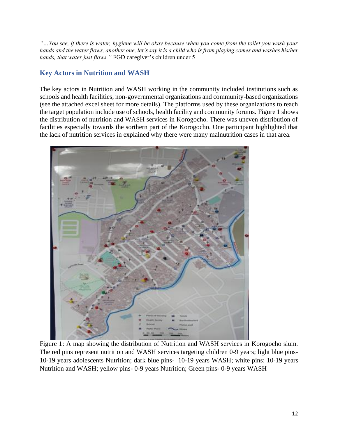*"…You see, if there is water, hygiene will be okay because when you come from the toilet you wash your hands and the water flows, another one, let's say it is a child who is from playing comes and washes his/her hands, that water just flows."* FGD caregiver's children under 5

# <span id="page-15-0"></span>**Key Actors in Nutrition and WASH**

The key actors in Nutrition and WASH working in the community included institutions such as schools and health facilities, non-governmental organizations and community-based organizations (see the attached excel sheet for more details). The platforms used by these organizations to reach the target population include use of schools, health facility and community forums. Figure 1 shows the distribution of nutrition and WASH services in Korogocho. There was uneven distribution of facilities especially towards the sorthern part of the Korogocho. One participant highlighted that the lack of nutrition services in explained why there were many malnutrition cases in that area.



Figure 1: A map showing the distribution of Nutrition and WASH services in Korogocho slum. The red pins represent nutrition and WASH services targeting children 0-9 years; light blue pins-10-19 years adolescents Nutrition; dark blue pins- 10-19 years WASH; white pins: 10-19 years Nutrition and WASH; yellow pins- 0-9 years Nutrition; Green pins- 0-9 years WASH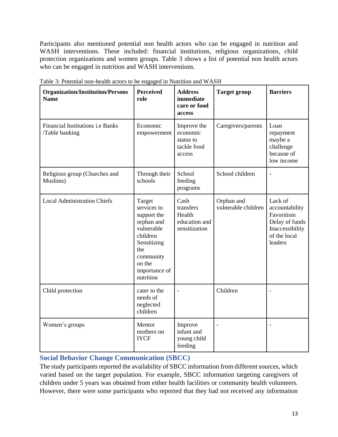Participants also mentioned potential non health actors who can be engaged in nutrition and WASH interventions. These included: financial institutions, religious organizations, child protection organizations and women groups. Table 3 shows a list of potential non health actors who can be engaged in nutrition and WASH interventions.

| <b>Organization/Institution/Persons</b><br><b>Name</b>    | <b>Perceived</b><br>role                                                                                                                                | <b>Address</b><br>immediate<br>care or food<br>access         | <b>Target group</b>               | <b>Barriers</b>                                                                                         |
|-----------------------------------------------------------|---------------------------------------------------------------------------------------------------------------------------------------------------------|---------------------------------------------------------------|-----------------------------------|---------------------------------------------------------------------------------------------------------|
| <b>Financial Institutions i.e Banks</b><br>/Table banking | Economic<br>empowerment                                                                                                                                 | Improve the<br>economic<br>status to<br>tackle food<br>access | Caregivers/parents                | Loan<br>repayment<br>maybe a<br>challenge<br>because of<br>low income                                   |
| Religious group (Churches and<br>Muslims)                 | Through their<br>schools                                                                                                                                | School<br>feeding<br>programs                                 | School children                   | $\blacksquare$                                                                                          |
| <b>Local Administration Chiefs</b>                        | Target<br>services to<br>support the<br>orphan and<br>vulnerable<br>children<br>Sensitizing<br>the<br>community<br>on the<br>importance of<br>nutrition | Cash<br>transfers<br>Health<br>education and<br>sensitization | Orphan and<br>vulnerable children | Lack of<br>accountability<br>Favoritism<br>Delay of funds<br>Inaccessibility<br>of the local<br>leaders |
| Child protection                                          | cater to the<br>needs of<br>neglected<br>children                                                                                                       | $\overline{a}$                                                | Children                          |                                                                                                         |
| Women's groups                                            | Mentor<br>mothers on<br><b>IYCF</b>                                                                                                                     | Improve<br>infant and<br>young child<br>feeding               | $\overline{\phantom{a}}$          | $\overline{a}$                                                                                          |

Table 3: Potential non-health actors to be engaged in Nutrition and WASH

# <span id="page-16-0"></span>**Social Behavior Change Communication (SBCC)**

The study participants reported the availability of SBCC information from different sources, which varied based on the target population. For example, SBCC information targeting caregivers of children under 5 years was obtained from either health facilities or community health volunteers. However, there were some participants who reported that they had not received any information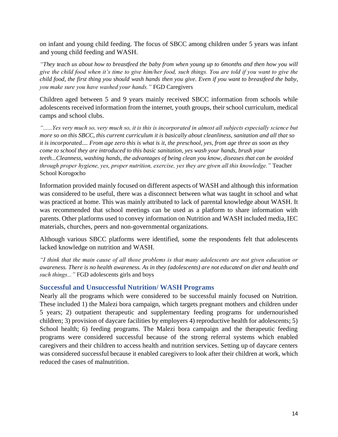on infant and young child feeding. The focus of SBCC among children under 5 years was infant and young child feeding and WASH.

*"They teach us about how to breastfeed the baby from when young up to 6months and then how you will give the child food when it's time to give him/her food, such things. You are told if you want to give the child food, the first thing you should wash hands then you give. Even if you want to breastfeed the baby, you make sure you have washed your hands."* FGD Caregivers

Children aged between 5 and 9 years mainly received SBCC information from schools while adolescents received information from the internet, youth groups, their school curriculum, medical camps and school clubs.

*"......Yes very much so, very much so, it is this is incorporated in almost all subjects especially science but more so on this SBCC, this current curriculum it is basically about cleanliness, sanitation and all that so it is incorporated.... From age zero this is what is it, the preschool, yes, from age three as soon as they come to school they are introduced to this basic sanitation, yes wash your hands, brush your teeth...Cleanness, washing hands, the advantages of being clean you know, diseases that can be avoided through proper hygiene, yes, proper nutrition, exercise, yes they are given all this knowledge."* Teacher School Korogocho

Information provided mainly focused on different aspects of WASH and although this information was considered to be useful, there was a disconnect between what was taught in school and what was practiced at home. This was mainly attributed to lack of parental knowledge about WASH. It was recommended that school meetings can be used as a platform to share information with parents. Other platforms used to convey information on Nutrition and WASH included media, IEC materials, churches, peers and non-governmental organizations.

Although various SBCC platforms were identified, some the respondents felt that adolescents lacked knowledge on nutrition and WASH.

*"I think that the main cause of all those problems is that many adolescents are not given education or awareness. There is no health awareness. As in they (adolescents) are not educated on diet and health and such things..."* FGD adolescents girls and boys

# <span id="page-17-0"></span>**Successful and Unsuccessful Nutrition/ WASH Programs**

Nearly all the programs which were considered to be successful mainly focused on Nutrition. These included 1) the Malezi bora campaign, which targets pregnant mothers and children under 5 years; 2) outpatient therapeutic and supplementary feeding programs for undernourished children; 3) provision of daycare facilities by employers 4) reproductive health for adolescents; 5) School health; 6) feeding programs. The Malezi bora campaign and the therapeutic feeding programs were considered successful because of the strong referral systems which enabled caregivers and their children to access health and nutrition services. Setting up of daycare centers was considered successful because it enabled caregivers to look after their children at work, which reduced the cases of malnutrition.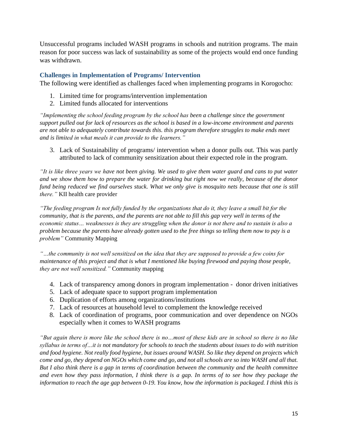Unsuccessful programs included WASH programs in schools and nutrition programs. The main reason for poor success was lack of sustainability as some of the projects would end once funding was withdrawn.

#### <span id="page-18-0"></span>**Challenges in Implementation of Programs/ Intervention**

The following were identified as challenges faced when implementing programs in Korogocho:

- 1. Limited time for programs/intervention implementation
- 2. Limited funds allocated for interventions

*"Implementing the school feeding program by the school has been a challenge since the government support pulled out for lack of resources as the school is based in a low-income environment and parents are not able to adequately contribute towards this. this program therefore struggles to make ends meet and is limited in what meals it can provide to the learners."*

3. Lack of Sustainability of programs/ intervention when a donor pulls out. This was partly attributed to lack of community sensitization about their expected role in the program.

*"It is like three years we have not been giving. We used to give them water guard and cans to put water and we show them how to prepare the water for drinking but right now we really, because of the donor fund being reduced we find ourselves stuck. What we only give is mosquito nets because that one is still there."* KII health care provider

*"The feeding program Is not fully funded by the organizations that do it, they leave a small bit for the community, that is the parents, and the parents are not able to fill this gap very well in terms of the economic status… weaknesses is they are struggling when the donor is not there and to sustain is also a problem because the parents have already gotten used to the free things so telling them now to pay is a problem"* Community Mapping

*"…the community is not well sensitized on the idea that they are supposed to provide a few coins for maintenance of this project and that is what I mentioned like buying firewood and paying those people, they are not well sensitized."* Community mapping

- 4. Lack of transparency among donors in program implementation donor driven initiatives
- 5. Lack of adequate space to support program implementation
- 6. Duplication of efforts among organizations/institutions
- 7. Lack of resources at household level to complement the knowledge received
- 8. Lack of coordination of programs, poor communication and over dependence on NGOs especially when it comes to WASH programs

*"But again there is more like the school there is no…most of these kids are in school so there is no like syllabus in terms of…it is not mandatory for schools to teach the students about issues to do with nutrition and food hygiene. Not really food hygiene, but issues around WASH. So like they depend on projects which come and go, they depend on NGOs which come and go, and not all schools are so into WASH and all that. But I also think there is a gap in terms of coordination between the community and the health committee and even how they pass information, I think there is a gap. In terms of to see how they package the information to reach the age gap between 0-19. You know, how the information is packaged. I think this is*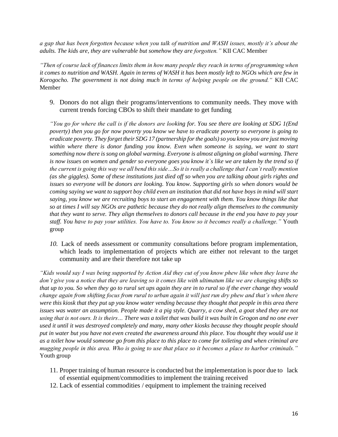*a gap that has been forgotten because when you talk of nutrition and WASH issues, mostly it's about the adults. The kids are, they are vulnerable but somehow they are forgotten."* KII CAC Member

*"Then of course lack of finances limits them in how many people they reach in terms of programming when it comes to nutrition and WASH. Again in terms of WASH it has been mostly left to NGOs which are few in Korogocho. The government is not doing much in terms of helping people on the ground."* KII CAC Member

9. Donors do not align their programs/interventions to community needs. They move with current trends forcing CBOs to shift their mandate to get funding

*"You go for where the call is if the donors are looking for. You see there are looking at SDG 1(End poverty) then you go for now poverty you know we have to eradicate poverty so everyone is going to eradicate poverty. They forget their SDG 17 (partnership for the goals) so you know you are just moving within where there is donor funding you know. Even when someone is saying, we want to start something now there is song on global warming. Everyone is almost aligning on global warming. There is now issues on women and gender so everyone goes you know it`s like we are taken by the trend so if the current is going this way we all bend this side…So it is really a challenge that I can`t really mention (as she giggles). Some of these institutions just died off so when you are talking about girls rights and issues so everyone will be donors are looking. You know. Supporting girls so when donors would be coming saying we want to support boy child even an institution that did not have boys in mind will start saying, you know we are recruiting boys to start an engagement with them. You know things like that so at times I will say NGOs are pathetic because they do not really align themselves to the community that they want to serve. They align themselves to donors call because in the end you have to pay your staff. You have to pay your utilities. You have to. You know so it becomes really a challenge."* Youth group

*10.* Lack of needs assessment or community consultations before program implementation, which leads to implementation of projects which are either not relevant to the target community and are their therefore not take up

*"Kids would say I was being supported by Action Aid they cut of you know phew like when they leave the don't give you a notice that they are leaving so it comes like with ultimatum like we are changing shifts so that up to you. So when they go to rural set ups again they are in to rural so if the ever change they would change again from shifting focus from rural to urban again it will just run dry phew and that's when there were this kiosk that they put up you know water vending because they thought that people in this area there issues was water an assumption. People made it a pig style. Quarry, a cow shed, a goat shed they are not using that is not ours. It is theirs… There was a toilet that was build it was built in Grogon and no one ever used it until it was destroyed completely and many, many other kiosks because they thought people should put in water but you have not even created the awareness around this place. You thought they would use it as a toilet how would someone go from this place to this place to come for toileting and when criminal are mugging people in this area. Who is going to use that place so it becomes a place to harbor criminals."*  Youth group

- 11. Proper training of human resource is conducted but the implementation is poor due to lack of essential equipment/commodities to implement the training received
- 12. Lack of essential commodities / equipment to implement the training received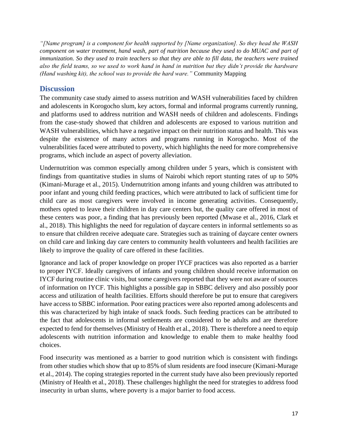*"[Name program] is a component for health supported by [Name organization]. So they head the WASH component on water treatment, hand wash, part of nutrition because they used to do MUAC and part of immunization. So they used to train teachers so that they are able to fill data, the teachers were trained also the field teams, so we used to work hand in hand in nutrition but they didn't provide the hardware (Hand washing kit), the school was to provide the hard ware."* Community Mapping

# <span id="page-20-0"></span>**Discussion**

The community case study aimed to assess nutrition and WASH vulnerabilities faced by children and adolescents in Korogocho slum, key actors, formal and informal programs currently running, and platforms used to address nutrition and WASH needs of children and adolescents. Findings from the case-study showed that children and adolescents are exposed to various nutrition and WASH vulnerabilities, which have a negative impact on their nutrition status and health. This was despite the existence of many actors and programs running in Korogocho. Most of the vulnerabilities faced were attributed to poverty, which highlights the need for more comprehensive programs, which include an aspect of poverty alleviation.

Undernutrition was common especially among children under 5 years, which is consistent with findings from quantitative studies in slums of Nairobi which report stunting rates of up to 50% (Kimani-Murage et al., 2015). Undernutrition among infants and young children was attributed to poor infant and young child feeding practices, which were attributed to lack of sufficient time for child care as most caregivers were involved in income generating activities. Consequently, mothers opted to leave their children in day care centers but, the quality care offered in most of these centers was poor, a finding that has previously been reported (Mwase et al., 2016, Clark et al., 2018). This highlights the need for regulation of daycare centers in informal settlements so as to ensure that children receive adequate care. Strategies such as training of daycare center owners on child care and linking day care centers to community health volunteers and health facilities are likely to improve the quality of care offered in these facilities.

Ignorance and lack of proper knowledge on proper IYCF practices was also reported as a barrier to proper IYCF. Ideally caregivers of infants and young children should receive information on IYCF during routine clinic visits, but some caregivers reported that they were not aware of sources of information on IYCF. This highlights a possible gap in SBBC delivery and also possibly poor access and utilization of health facilities. Efforts should therefore be put to ensure that caregivers have access to SBBC information. Poor eating practices were also reported among adolescents and this was characterized by high intake of snack foods. Such feeding practices can be attributed to the fact that adolescents in informal settlements are considered to be adults and are therefore expected to fend for themselves (Ministry of Health et al., 2018). There is therefore a need to equip adolescents with nutrition information and knowledge to enable them to make healthy food choices.

Food insecurity was mentioned as a barrier to good nutrition which is consistent with findings from other studies which show that up to 85% of slum residents are food insecure (Kimani-Murage et al., 2014). The coping strategies reported in the current study have also been previously reported (Ministry of Health et al., 2018). These challenges highlight the need for strategies to address food insecurity in urban slums, where poverty is a major barrier to food access.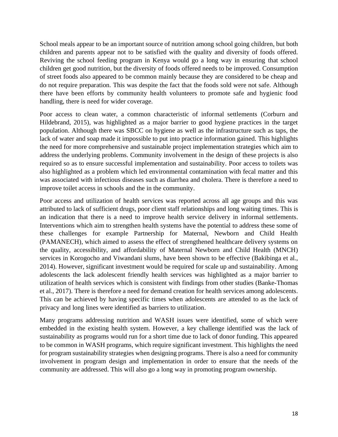School meals appear to be an important source of nutrition among school going children, but both children and parents appear not to be satisfied with the quality and diversity of foods offered. Reviving the school feeding program in Kenya would go a long way in ensuring that school children get good nutrition, but the diversity of foods offered needs to be improved. Consumption of street foods also appeared to be common mainly because they are considered to be cheap and do not require preparation. This was despite the fact that the foods sold were not safe. Although there have been efforts by community health volunteers to promote safe and hygienic food handling, there is need for wider coverage.

Poor access to clean water, a common characteristic of informal settlements (Corburn and Hildebrand, 2015), was highlighted as a major barrier to good hygiene practices in the target population. Although there was SBCC on hygiene as well as the infrastructure such as taps, the lack of water and soap made it impossible to put into practice information gained. This highlights the need for more comprehensive and sustainable project implementation strategies which aim to address the underlying problems. Community involvement in the design of these projects is also required so as to ensure successful implementation and sustainability. Poor access to toilets was also highlighted as a problem which led environmental contamination with fecal matter and this was associated with infectious diseases such as diarrhea and cholera. There is therefore a need to improve toilet access in schools and the in the community.

Poor access and utilization of health services was reported across all age groups and this was attributed to lack of sufficient drugs, poor client staff relationships and long waiting times. This is an indication that there is a need to improve health service delivery in informal settlements. Interventions which aim to strengthen health systems have the potential to address these some of these challenges for example Partnership for Maternal, Newborn and Child Health (PAMANECH), which aimed to assess the effect of strengthened healthcare delivery systems on the quality, accessibility, and affordability of Maternal Newborn and Child Health (MNCH) services in Korogocho and Viwandani slums, have been shown to be effective (Bakibinga et al., 2014). However, significant investment would be required for scale up and sustainability. Among adolescents the lack adolescent friendly health services was highlighted as a major barrier to utilization of health services which is consistent with findings from other studies (Banke-Thomas et al., 2017). There is therefore a need for demand creation for health services among adolescents. This can be achieved by having specific times when adolescents are attended to as the lack of privacy and long lines were identified as barriers to utilization.

Many programs addressing nutrition and WASH issues were identified, some of which were embedded in the existing health system. However, a key challenge identified was the lack of sustainability as programs would run for a short time due to lack of donor funding. This appeared to be common in WASH programs, which require significant investment. This highlights the need for program sustainability strategies when designing programs. There is also a need for community involvement in program design and implementation in order to ensure that the needs of the community are addressed. This will also go a long way in promoting program ownership.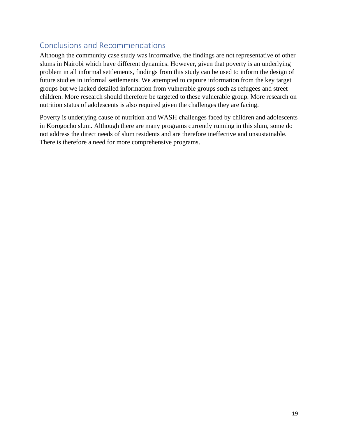# <span id="page-22-0"></span>Conclusions and Recommendations

Although the community case study was informative, the findings are not representative of other slums in Nairobi which have different dynamics. However, given that poverty is an underlying problem in all informal settlements, findings from this study can be used to inform the design of future studies in informal settlements. We attempted to capture information from the key target groups but we lacked detailed information from vulnerable groups such as refugees and street children. More research should therefore be targeted to these vulnerable group. More research on nutrition status of adolescents is also required given the challenges they are facing.

Poverty is underlying cause of nutrition and WASH challenges faced by children and adolescents in Korogocho slum. Although there are many programs currently running in this slum, some do not address the direct needs of slum residents and are therefore ineffective and unsustainable. There is therefore a need for more comprehensive programs.